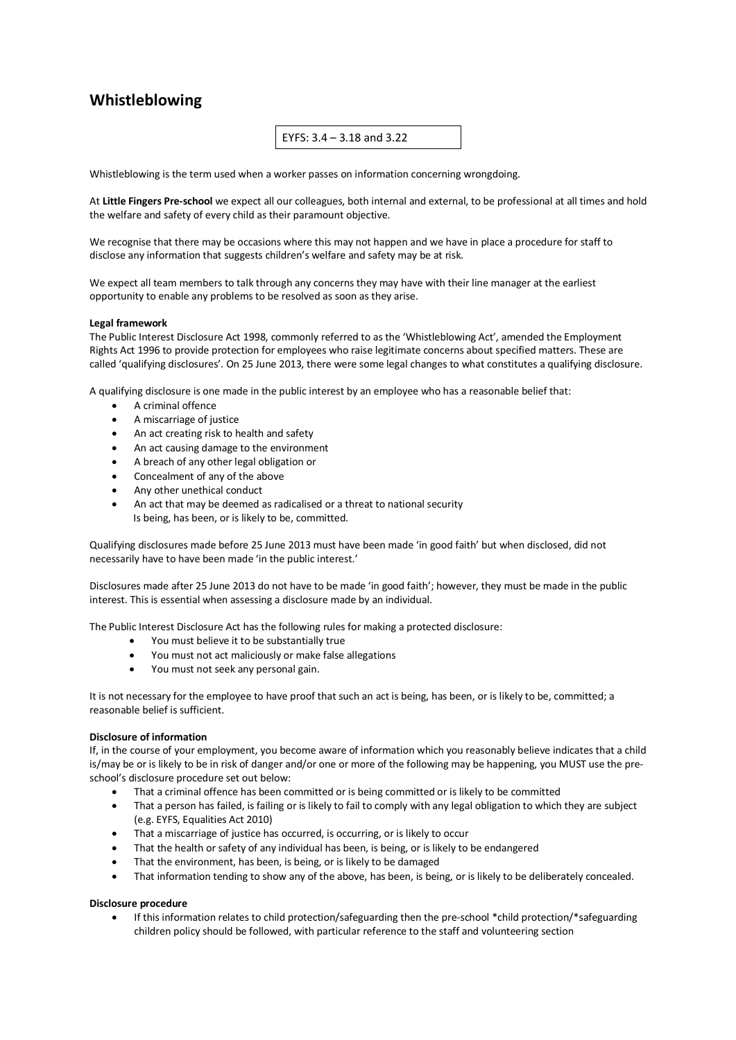## **Whistleblowing**

EYFS: 3.4 – 3.18 and 3.22

Whistleblowing is the term used when a worker passes on information concerning wrongdoing.

At **Little Fingers Pre-school** we expect all our colleagues, both internal and external, to be professional at all times and hold the welfare and safety of every child as their paramount objective.

We recognise that there may be occasions where this may not happen and we have in place a procedure for staff to disclose any information that suggests children's welfare and safety may be at risk.

We expect all team members to talk through any concerns they may have with their line manager at the earliest opportunity to enable any problems to be resolved as soon as they arise.

## **Legal framework**

The Public Interest Disclosure Act 1998, commonly referred to as the 'Whistleblowing Act', amended the Employment Rights Act 1996 to provide protection for employees who raise legitimate concerns about specified matters. These are called 'qualifying disclosures'. On 25 June 2013, there were some legal changes to what constitutes a qualifying disclosure.

A qualifying disclosure is one made in the public interest by an employee who has a reasonable belief that:

- A criminal offence
- A miscarriage of justice
- An act creating risk to health and safety
- An act causing damage to the environment
- A breach of any other legal obligation or
- Concealment of any of the above
- Any other unethical conduct
- An act that may be deemed as radicalised or a threat to national security Is being, has been, or is likely to be, committed.

Qualifying disclosures made before 25 June 2013 must have been made 'in good faith' but when disclosed, did not necessarily have to have been made 'in the public interest.'

Disclosures made after 25 June 2013 do not have to be made 'in good faith'; however, they must be made in the public interest. This is essential when assessing a disclosure made by an individual.

The Public Interest Disclosure Act has the following rules for making a protected disclosure:

- You must believe it to be substantially true
- You must not act maliciously or make false allegations
- You must not seek any personal gain.

It is not necessary for the employee to have proof that such an act is being, has been, or is likely to be, committed; a reasonable belief is sufficient.

## **Disclosure of information**

If, in the course of your employment, you become aware of information which you reasonably believe indicates that a child is/may be or is likely to be in risk of danger and/or one or more of the following may be happening, you MUST use the preschool's disclosure procedure set out below:

- That a criminal offence has been committed or is being committed or is likely to be committed
- That a person has failed, is failing or is likely to fail to comply with any legal obligation to which they are subject (e.g. EYFS, Equalities Act 2010)
- That a miscarriage of justice has occurred, is occurring, or is likely to occur
- That the health or safety of any individual has been, is being, or is likely to be endangered
- That the environment, has been, is being, or is likely to be damaged
- That information tending to show any of the above, has been, is being, or is likely to be deliberately concealed.

## **Disclosure procedure**

• If this information relates to child protection/safeguarding then the pre-school \*child protection/\*safeguarding children policy should be followed, with particular reference to the staff and volunteering section